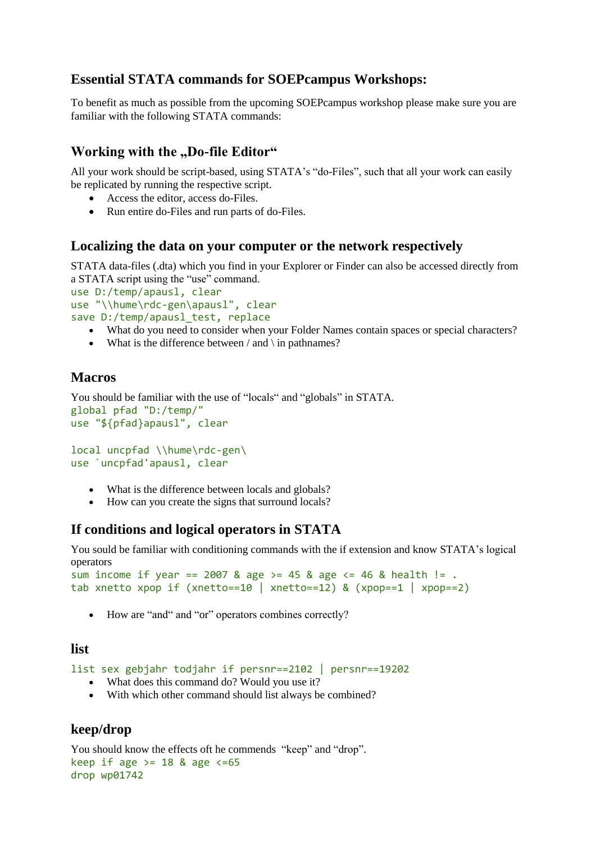# **Essential STATA commands for SOEPcampus Workshops:**

To benefit as much as possible from the upcoming SOEPcampus workshop please make sure you are familiar with the following STATA commands:

## **Working with the "Do-file Editor"**

All your work should be script-based, using STATA's "do-Files", such that all your work can easily be replicated by running the respective script.

- Access the editor, access do-Files.
- Run entire do-Files and run parts of do-Files.

### **Localizing the data on your computer or the network respectively**

STATA data-files (.dta) which you find in your Explorer or Finder can also be accessed directly from a STATA script using the "use" command.

```
use D:/temp/apausl, clear
use "\\hume\rdc-gen\apausl", clear
save D:/temp/apausl test, replace
```
- What do you need to consider when your Folder Names contain spaces or special characters?
- What is the difference between  $/$  and  $\iota$  in pathnames?

## **Macros**

```
You should be familiar with the use of "locals" and "globals" in STATA.
global pfad "D:/temp/"
use "${pfad}apausl", clear
```

```
local uncpfad \\hume\rdc-gen\
use `uncpfad'apausl, clear
```
- What is the difference between locals and globals?
- How can you create the signs that surround locals?

## **If conditions and logical operators in STATA**

You sould be familiar with conditioning commands with the if extension and know STATA's logical operators

```
sum income if year == 2007 & age >= 45 & age <= 46 & health != .
tab xnetto xpop if (xnetto==10 | xnetto==12) & (xpop==1 | xpop==2)
```
• How are "and" and "or" operators combines correctly?

### **list**

list sex gebjahr todjahr if persnr==2102 | persnr==19202

- What does this command do? Would you use it?
- With which other command should list always be combined?

## **keep/drop**

You should know the effects oft he commends "keep" and "drop". keep if age  $>= 18$  & age  $<= 65$ drop wp01742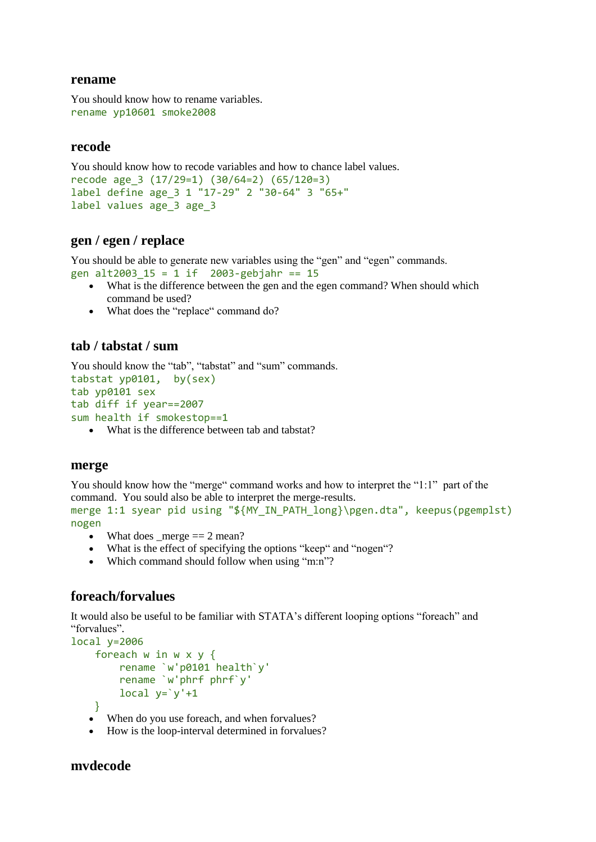#### **rename**

```
You should know how to rename variables.
rename yp10601 smoke2008
```
#### **recode**

You should know how to recode variables and how to chance label values.

```
recode age_3 (17/29=1) (30/64=2) (65/120=3)
label define age_3 1 "17-29" 2 "30-64" 3 "65+"
label values age_3 age_3
```
### **gen / egen / replace**

You should be able to generate new variables using the "gen" and "egen" commands. gen alt2003\_15 = 1 if 2003-gebjahr == 15

- What is the difference between the gen and the egen command? When should which command be used?
- What does the "replace" command do?

## **tab / tabstat / sum**

```
You should know the "tab", "tabstat" and "sum" commands.
tabstat yp0101, by(sex)
tab yp0101 sex
tab diff if year==2007
```
- sum health if smokestop==1
	- What is the difference between tab and tabstat?

#### **merge**

You should know how the "merge" command works and how to interpret the "1:1" part of the command. You sould also be able to interpret the merge-results. merge 1:1 syear pid using "\${MY\_IN\_PATH\_long}\pgen.dta", keepus(pgemplst) nogen

- What does \_merge  $== 2$  mean?
- What is the effect of specifying the options "keep" and "nogen"?
- Which command should follow when using "m:n"?

## **foreach/forvalues**

It would also be useful to be familiar with STATA's different looping options "foreach" and "forvalues".

```
local y=2006
     foreach w in w x y {
         rename `w'p0101 health`y'
         rename `w'phrf phrf`y'
        local y='y'+1 }
```
- When do you use foreach, and when forvalues?
- How is the loop-interval determined in forvalues?

### **mvdecode**